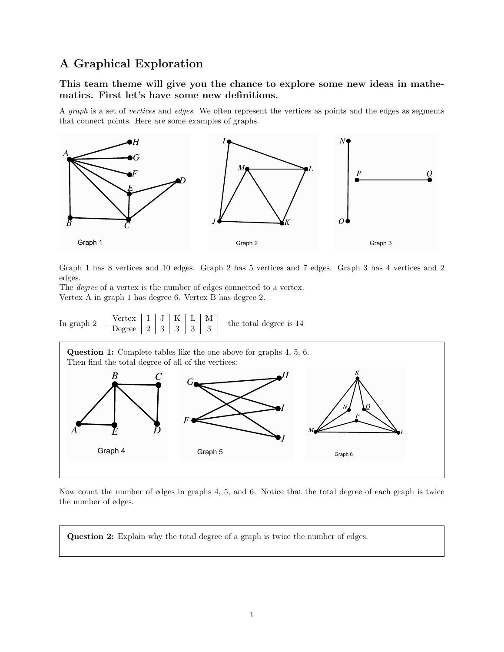## A Graphical Exploration

This team theme will give you the chance to explore some new ideas in mathematics. First let's have some new definitions.

A graph is a set of vertices and edges. We often represent the vertices as points and the edges as segments that connect points. Here are some examples of graphs.



Graph 1 has 8 vertices and 10 edges. Graph 2 has 5 vertices and 7 edges. Graph 3 has 4 vertices and 2 edges.

The degree of a vertex is the number of edges connected to a vertex. Vertex A in graph 1 has degree 6. Vertex B has degree 2.





Now count the number of edges in graphs 4, 5, and 6. Notice that the total degree of each graph is twice the number of edges.

Question 2: Explain why the total degree of a graph is twice the number of edges.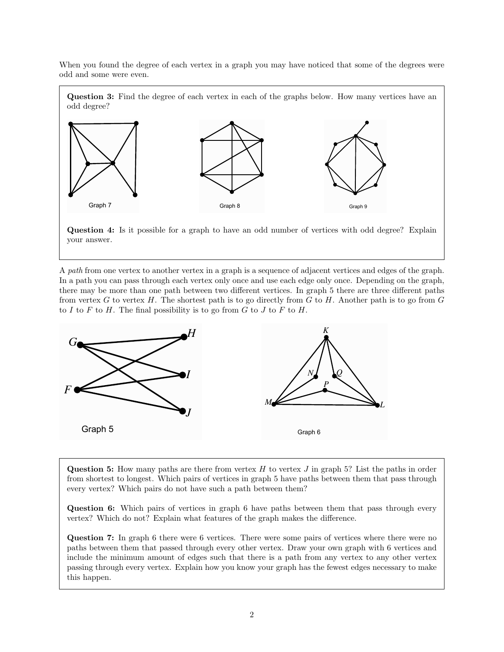When you found the degree of each vertex in a graph you may have noticed that some of the degrees were odd and some were even.

**Question 3:** Find the degree of each vertex in each of the graphs below. How many vertices have an odd degree?





A path from one vertex to another vertex in a graph is a sequence of adjacent vertices and edges of the graph. In a path you can pass through each vertex only once and use each edge only once. Depending on the graph, there may be more than one path between two different vertices. In graph 5 there are three different paths from vertex G to vertex H. The shortest path is to go directly from  $G$  to H. Another path is to go from  $G$ to I to F to H. The final possibility is to go from  $G$  to  $J$  to  $F$  to  $H$ .



Question 5: How many paths are there from vertex  $H$  to vertex  $J$  in graph 5? List the paths in order from shortest to longest. Which pairs of vertices in graph 5 have paths between them that pass through every vertex? Which pairs do not have such a path between them?

Question 6: Which pairs of vertices in graph 6 have paths between them that pass through every vertex? Which do not? Explain what features of the graph makes the difference.

Question 7: In graph 6 there were 6 vertices. There were some pairs of vertices where there were no paths between them that passed through every other vertex. Draw your own graph with 6 vertices and include the minimum amount of edges such that there is a path from any vertex to any other vertex passing through every vertex. Explain how you know your graph has the fewest edges necessary to make this happen.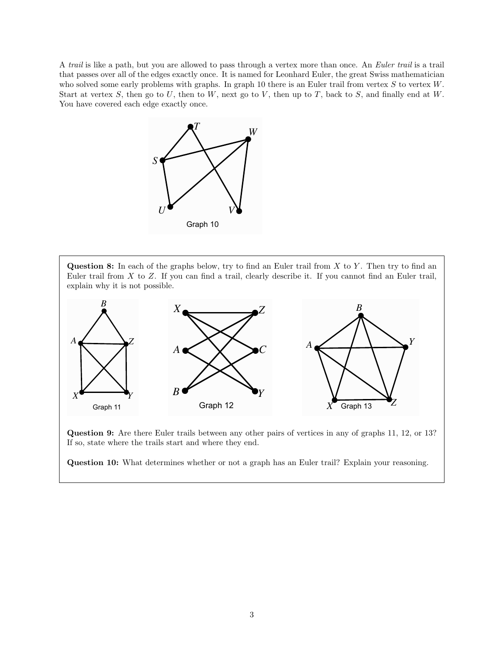A trail is like a path, but you are allowed to pass through a vertex more than once. An Euler trail is a trail that passes over all of the edges exactly once. It is named for Leonhard Euler, the great Swiss mathematician who solved some early problems with graphs. In graph 10 there is an Euler trail from vertex  $S$  to vertex  $W$ . Start at vertex  $S$ , then go to  $U$ , then to  $W$ , next go to  $V$ , then up to  $T$ , back to  $S$ , and finally end at  $W$ . You have covered each edge exactly once.



**Question 8:** In each of the graphs below, try to find an Euler trail from  $X$  to  $Y$ . Then try to find an Euler trail from  $X$  to  $Z$ . If you can find a trail, clearly describe it. If you cannot find an Euler trail, explain why it is not possible.



Question 9: Are there Euler trails between any other pairs of vertices in any of graphs 11, 12, or 13? If so, state where the trails start and where they end.

Question 10: What determines whether or not a graph has an Euler trail? Explain your reasoning.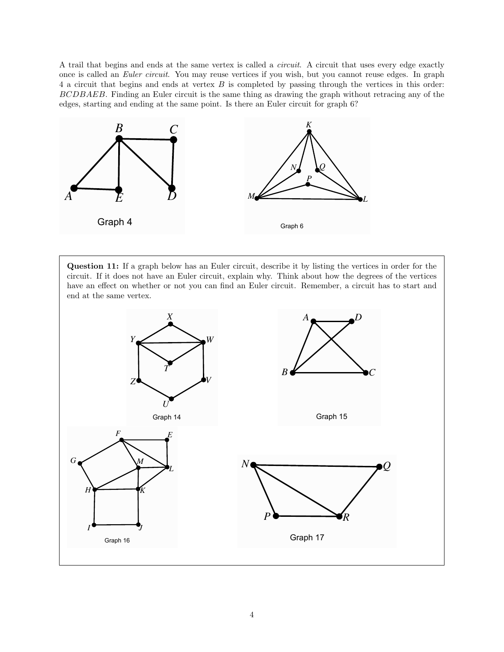A trail that begins and ends at the same vertex is called a circuit. A circuit that uses every edge exactly once is called an Euler circuit. You may reuse vertices if you wish, but you cannot reuse edges. In graph 4 a circuit that begins and ends at vertex B is completed by passing through the vertices in this order: BCDBAEB. Finding an Euler circuit is the same thing as drawing the graph without retracing any of the edges, starting and ending at the same point. Is there an Euler circuit for graph 6?



Question 11: If a graph below has an Euler circuit, describe it by listing the vertices in order for the circuit. If it does not have an Euler circuit, explain why. Think about how the degrees of the vertices have an effect on whether or not you can find an Euler circuit. Remember, a circuit has to start and end at the same vertex.

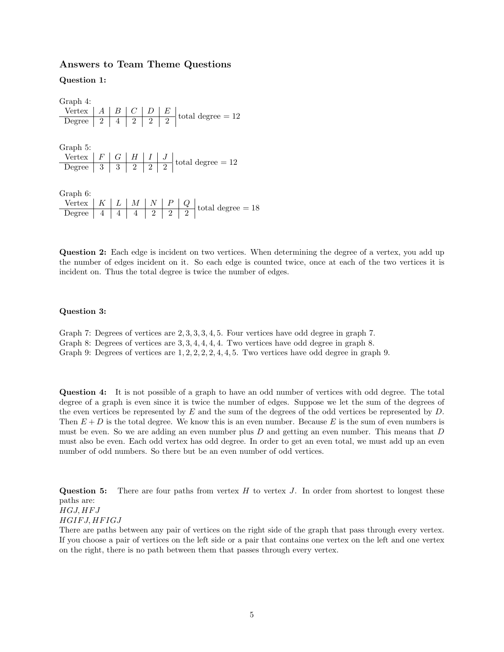## Answers to Team Theme Questions

Question 1:

|  |  |  | $\begin{tabular}{c c c c c c c} \hline \textbf{Vertex} & A & B & C & D & E \\ \hline \textbf{Degree} & 2 & 4 & 2 & 2 & 2 \\ \hline \end{tabular} \textbf{total degree = 12}$<br>$\begin{array}{c c c c c c c} \n\text{Vertex} & F & G & H & I & J \\ \n\hline \n\text{Degree} & 3 & 3 & 2 & 2 & 2 \\ \n\end{array} \text{total degree} = 12$<br>$\begin{array}{c c c c c c c c} \text{Vertex} & K & L & M & N & P & Q \\ \hline \text{Degree} & 4 & 4 & 4 & 2 & 2 & 2 \\ \end{array} \text{total degree = 18}$ |
|--|--|--|----------------------------------------------------------------------------------------------------------------------------------------------------------------------------------------------------------------------------------------------------------------------------------------------------------------------------------------------------------------------------------------------------------------------------------------------------------------------------------------------------------------|

Question 2: Each edge is incident on two vertices. When determining the degree of a vertex, you add up the number of edges incident on it. So each edge is counted twice, once at each of the two vertices it is incident on. Thus the total degree is twice the number of edges.

## Question 3:

Graph 7: Degrees of vertices are 2, 3, 3, 3, 4, 5. Four vertices have odd degree in graph 7. Graph 8: Degrees of vertices are 3, 3, 4, 4, 4, 4. Two vertices have odd degree in graph 8. Graph 9: Degrees of vertices are 1, 2, 2, 2, 2, 4, 4, 5. Two vertices have odd degree in graph 9.

Question 4: It is not possible of a graph to have an odd number of vertices with odd degree. The total degree of a graph is even since it is twice the number of edges. Suppose we let the sum of the degrees of the even vertices be represented by  $E$  and the sum of the degrees of the odd vertices be represented by  $D$ . Then  $E + D$  is the total degree. We know this is an even number. Because E is the sum of even numbers is must be even. So we are adding an even number plus  $D$  and getting an even number. This means that  $D$ must also be even. Each odd vertex has odd degree. In order to get an even total, we must add up an even number of odd numbers. So there but be an even number of odd vertices.

**Question 5:** There are four paths from vertex  $H$  to vertex  $J$ . In order from shortest to longest these paths are:  $HGJ, HFJ$ HGIF J, HF IGJ There are paths between any pair of vertices on the right side of the graph that pass through every vertex.

If you choose a pair of vertices on the left side or a pair that contains one vertex on the left and one vertex on the right, there is no path between them that passes through every vertex.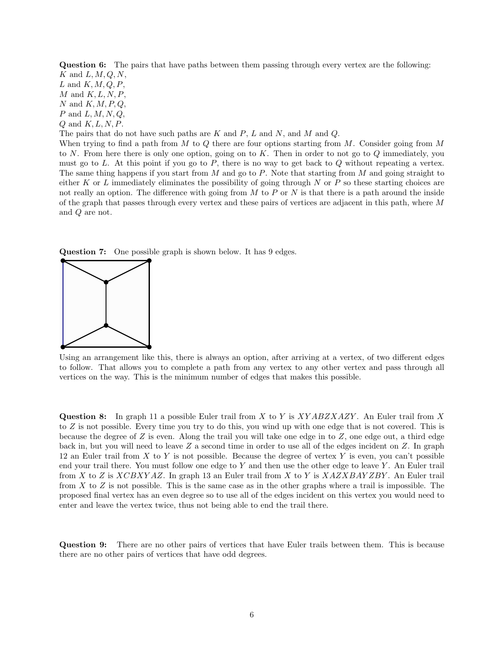Question 6: The pairs that have paths between them passing through every vertex are the following:  $K$  and  $L, M, Q, N$ ,

L and  $K, M, Q, P$ ,  $M$  and  $K, L, N, P$ , N and  $K, M, P, Q$ ,  $P$  and  $L, M, N, Q$ ,

 $Q$  and  $K, L, N, P$ .

The pairs that do not have such paths are K and  $P$ , L and N, and M and Q.

When trying to find a path from  $M$  to  $Q$  there are four options starting from  $M$ . Consider going from  $M$ to N. From here there is only one option, going on to K. Then in order to not go to  $Q$  immediately, you must go to L. At this point if you go to  $P$ , there is no way to get back to  $Q$  without repeating a vertex. The same thing happens if you start from  $M$  and go to  $P$ . Note that starting from  $M$  and going straight to either K or L immediately eliminates the possibility of going through N or P so these starting choices are not really an option. The difference with going from  $M$  to  $P$  or  $N$  is that there is a path around the inside of the graph that passes through every vertex and these pairs of vertices are adjacent in this path, where M and Q are not.





Using an arrangement like this, there is always an option, after arriving at a vertex, of two different edges to follow. That allows you to complete a path from any vertex to any other vertex and pass through all vertices on the way. This is the minimum number of edges that makes this possible.

**Question 8:** In graph 11 a possible Euler trail from X to Y is  $XYABZXAZY$ . An Euler trail from X to Z is not possible. Every time you try to do this, you wind up with one edge that is not covered. This is because the degree of  $Z$  is even. Along the trail you will take one edge in to  $Z$ , one edge out, a third edge back in, but you will need to leave Z a second time in order to use all of the edges incident on Z. In graph 12 an Euler trail from  $X$  to  $Y$  is not possible. Because the degree of vertex  $Y$  is even, you can't possible end your trail there. You must follow one edge to  $Y$  and then use the other edge to leave  $Y$ . An Euler trail from X to Z is  $XCBXYAZ$ . In graph 13 an Euler trail from X to Y is  $XAZXBAYZBY$ . An Euler trail from X to Z is not possible. This is the same case as in the other graphs where a trail is impossible. The proposed final vertex has an even degree so to use all of the edges incident on this vertex you would need to enter and leave the vertex twice, thus not being able to end the trail there.

Question 9: There are no other pairs of vertices that have Euler trails between them. This is because there are no other pairs of vertices that have odd degrees.